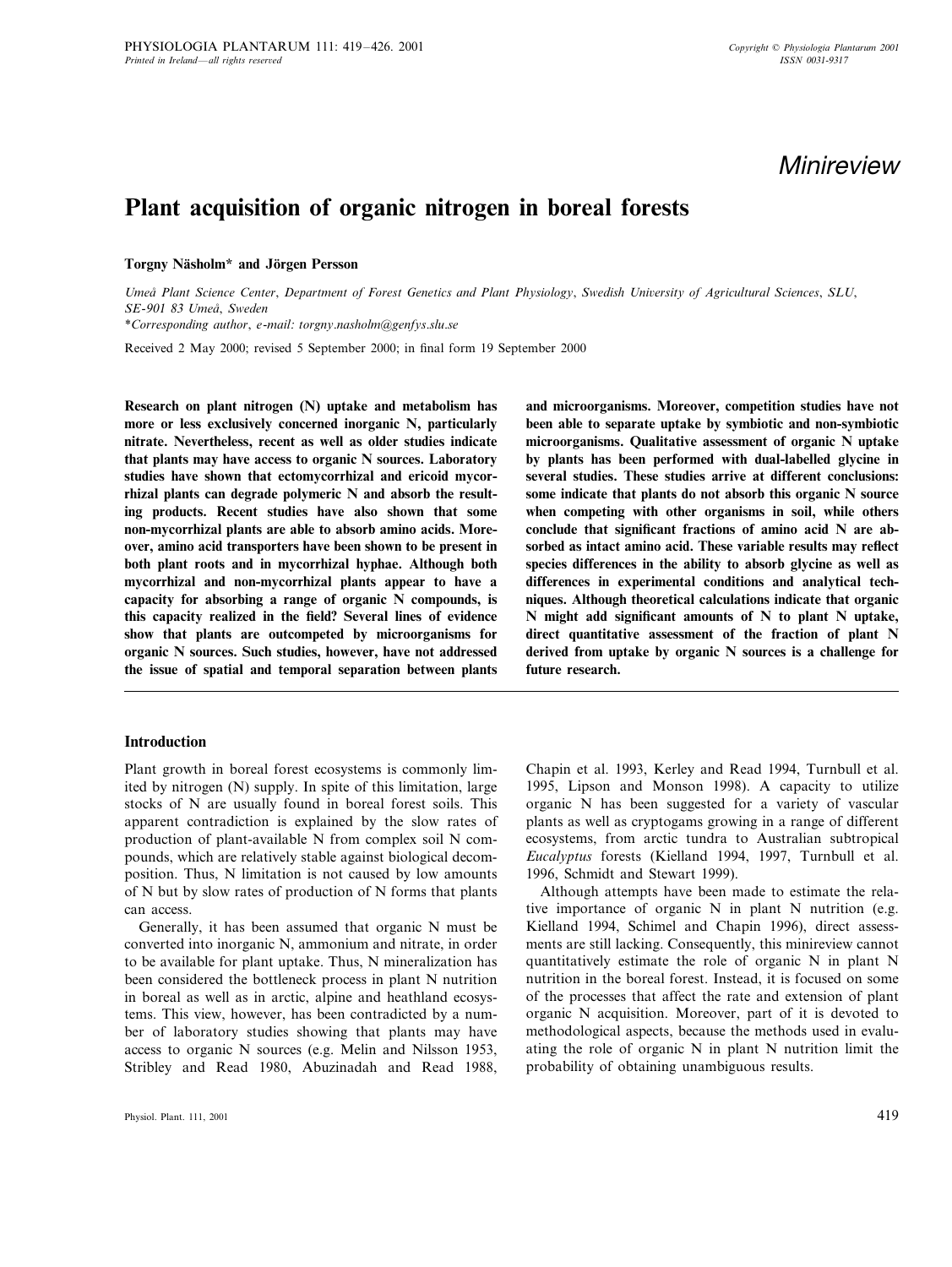## **Minireview**

# **Plant acquisition of organic nitrogen in boreal forests**

### **Torgny Na¨sholm\* and Jo¨rgen Persson**

*Umeå Plant Science Center, Department of Forest Genetics and Plant Physiology, Swedish University of Agricultural Sciences, SLU*, *SE*-901 83 *Umea˚*, *Sweden*

*\*Corresponding author*, *e*-*mail*: *torgny*.*nasholm@genfys*.*slu*.*se*

Received 2 May 2000; revised 5 September 2000; in final form 19 September 2000

**more or less exclusively concerned inorganic N, particularly been able to separate uptake by symbiotic and non-symbiotic nitrate. Nevertheless, recent as well as older studies indicate microorganisms. Qualitative assessment of organic N uptake that plants may have access to organic N sources. Laboratory by plants has been performed with dual-labelled glycine in studies have shown that ectomycorrhizal and ericoid mycor- several studies. These studies arrive at different conclusions: rhizal plants can degrade polymeric N and absorb the result- some indicate that plants do not absorb this organic N source ing products. Recent studies have also shown that some when competing with other organisms in soil, while others non-mycorrhizal plants are able to absorb amino acids. More- conclude that significant fractions of amino acid N are abover, amino acid transporters have been shown to be present in sorbed as intact amino acid. These variable results may reflect both plant roots and in mycorrhizal hyphae. Although both species differences in the ability to absorb glycine as well as mycorrhizal and non-mycorrhizal plants appear to have a differences in experimental conditions and analytical techcapacity for absorbing a range of organic N compounds, is niques. Although theoretical calculations indicate that organic this capacity realized in the field? Several lines of evidence N might add significant amounts of N to plant N uptake, show that plants are outcompeted by microorganisms for direct quantitative assessment of the fraction of plant N organic N sources. Such studies, however, have not addressed derived from uptake by organic N sources is a challenge for the issue of spatial and temporal separation between plants future research.**

#### **Introduction**

Plant growth in boreal forest ecosystems is commonly limited by nitrogen (N) supply. In spite of this limitation, large stocks of N are usually found in boreal forest soils. This apparent contradiction is explained by the slow rates of production of plant-available N from complex soil N compounds, which are relatively stable against biological decomposition. Thus, N limitation is not caused by low amounts of N but by slow rates of production of N forms that plants can access.

Generally, it has been assumed that organic N must be converted into inorganic N, ammonium and nitrate, in order to be available for plant uptake. Thus, N mineralization has been considered the bottleneck process in plant N nutrition in boreal as well as in arctic, alpine and heathland ecosystems. This view, however, has been contradicted by a number of laboratory studies showing that plants may have access to organic N sources (e.g. Melin and Nilsson 1953, Stribley and Read 1980, Abuzinadah and Read 1988,

**Research on plant nitrogen (N) uptake and metabolism has and microorganisms. Moreover, competition studies have not**

Chapin et al. 1993, Kerley and Read 1994, Turnbull et al. 1995, Lipson and Monson 1998). A capacity to utilize organic N has been suggested for a variety of vascular plants as well as cryptogams growing in a range of different ecosystems, from arctic tundra to Australian subtropical *Eucalyptus* forests (Kielland 1994, 1997, Turnbull et al. 1996, Schmidt and Stewart 1999).

Although attempts have been made to estimate the relative importance of organic N in plant N nutrition (e.g. Kielland 1994, Schimel and Chapin 1996), direct assessments are still lacking. Consequently, this minireview cannot quantitatively estimate the role of organic N in plant N nutrition in the boreal forest. Instead, it is focused on some of the processes that affect the rate and extension of plant organic N acquisition. Moreover, part of it is devoted to methodological aspects, because the methods used in evaluating the role of organic N in plant N nutrition limit the probability of obtaining unambiguous results.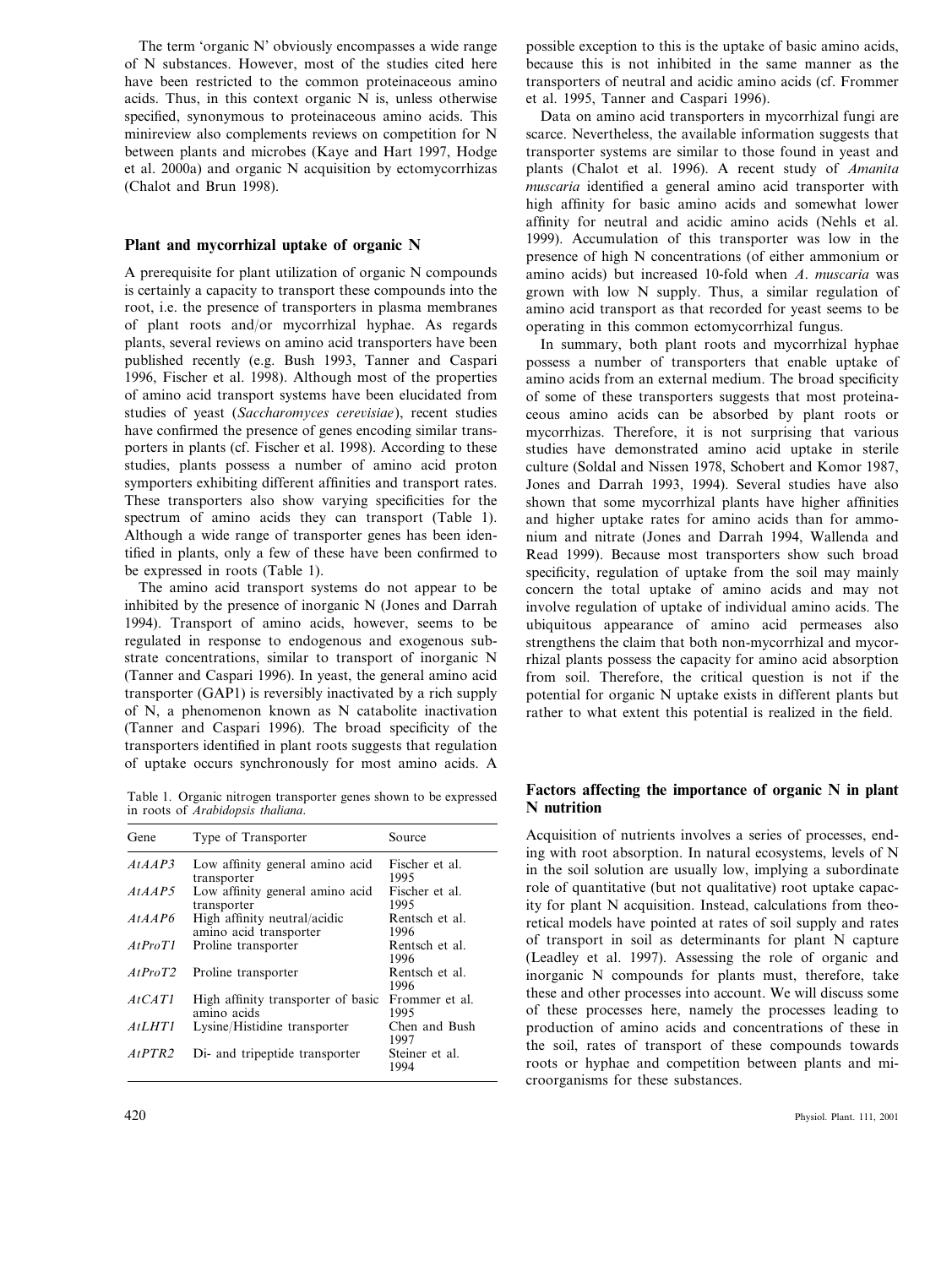The term 'organic N' obviously encompasses a wide range of N substances. However, most of the studies cited here have been restricted to the common proteinaceous amino acids. Thus, in this context organic N is, unless otherwise specified, synonymous to proteinaceous amino acids. This minireview also complements reviews on competition for N between plants and microbes (Kaye and Hart 1997, Hodge et al. 2000a) and organic N acquisition by ectomycorrhizas (Chalot and Brun 1998).

## **Plant and mycorrhizal uptake of organic N**

A prerequisite for plant utilization of organic N compounds is certainly a capacity to transport these compounds into the root, i.e. the presence of transporters in plasma membranes of plant roots and/or mycorrhizal hyphae. As regards plants, several reviews on amino acid transporters have been published recently (e.g. Bush 1993, Tanner and Caspari 1996, Fischer et al. 1998). Although most of the properties of amino acid transport systems have been elucidated from studies of yeast (*Saccharomyces cerevisiae*), recent studies have confirmed the presence of genes encoding similar transporters in plants (cf. Fischer et al. 1998). According to these studies, plants possess a number of amino acid proton symporters exhibiting different affinities and transport rates. These transporters also show varying specificities for the spectrum of amino acids they can transport (Table 1). Although a wide range of transporter genes has been identified in plants, only a few of these have been confirmed to be expressed in roots (Table 1).

The amino acid transport systems do not appear to be inhibited by the presence of inorganic N (Jones and Darrah 1994). Transport of amino acids, however, seems to be regulated in response to endogenous and exogenous substrate concentrations, similar to transport of inorganic N (Tanner and Caspari 1996). In yeast, the general amino acid transporter (GAP1) is reversibly inactivated by a rich supply of N, a phenomenon known as N catabolite inactivation (Tanner and Caspari 1996). The broad specificity of the transporters identified in plant roots suggests that regulation of uptake occurs synchronously for most amino acids. A

Table 1. Organic nitrogen transporter genes shown to be expressed in roots of *Arabidopsis thaliana*.

| Gene                | Type of Transporter                                    | Source                 |
|---------------------|--------------------------------------------------------|------------------------|
| A <sub>t</sub> AAP3 | Low affinity general amino acid<br>transporter         | Fischer et al.<br>1995 |
| A t A A P 5         | Low affinity general amino acid<br>transporter         | Fischer et al.<br>1995 |
| $A\,t A\,P\,6$      | High affinity neutral/acidic<br>amino acid transporter | Rentsch et al.<br>1996 |
| AtProT1             | Proline transporter                                    | Rentsch et al.<br>1996 |
| AtProT2             | Proline transporter                                    | Rentsch et al.<br>1996 |
| AtCAT1              | High affinity transporter of basic<br>amino acids      | Frommer et al.<br>1995 |
| At LHT1             | Lysine/Histidine transporter                           | Chen and Bush<br>1997  |
| AtPTR2              | Di- and tripeptide transporter                         | Steiner et al.<br>1994 |

possible exception to this is the uptake of basic amino acids, because this is not inhibited in the same manner as the transporters of neutral and acidic amino acids (cf. Frommer et al. 1995, Tanner and Caspari 1996).

Data on amino acid transporters in mycorrhizal fungi are scarce. Nevertheless, the available information suggests that transporter systems are similar to those found in yeast and plants (Chalot et al. 1996). A recent study of *Amanita muscaria* identified a general amino acid transporter with high affinity for basic amino acids and somewhat lower affinity for neutral and acidic amino acids (Nehls et al. 1999). Accumulation of this transporter was low in the presence of high N concentrations (of either ammonium or amino acids) but increased 10-fold when *A*. *muscaria* was grown with low N supply. Thus, a similar regulation of amino acid transport as that recorded for yeast seems to be operating in this common ectomycorrhizal fungus.

In summary, both plant roots and mycorrhizal hyphae possess a number of transporters that enable uptake of amino acids from an external medium. The broad specificity of some of these transporters suggests that most proteinaceous amino acids can be absorbed by plant roots or mycorrhizas. Therefore, it is not surprising that various studies have demonstrated amino acid uptake in sterile culture (Soldal and Nissen 1978, Schobert and Komor 1987, Jones and Darrah 1993, 1994). Several studies have also shown that some mycorrhizal plants have higher affinities and higher uptake rates for amino acids than for ammonium and nitrate (Jones and Darrah 1994, Wallenda and Read 1999). Because most transporters show such broad specificity, regulation of uptake from the soil may mainly concern the total uptake of amino acids and may not involve regulation of uptake of individual amino acids. The ubiquitous appearance of amino acid permeases also strengthens the claim that both non-mycorrhizal and mycorrhizal plants possess the capacity for amino acid absorption from soil. Therefore, the critical question is not if the potential for organic N uptake exists in different plants but rather to what extent this potential is realized in the field.

## **Factors affecting the importance of organic N in plant N nutrition**

Acquisition of nutrients involves a series of processes, ending with root absorption. In natural ecosystems, levels of N in the soil solution are usually low, implying a subordinate role of quantitative (but not qualitative) root uptake capacity for plant N acquisition. Instead, calculations from theoretical models have pointed at rates of soil supply and rates of transport in soil as determinants for plant N capture (Leadley et al. 1997). Assessing the role of organic and inorganic N compounds for plants must, therefore, take these and other processes into account. We will discuss some of these processes here, namely the processes leading to production of amino acids and concentrations of these in the soil, rates of transport of these compounds towards roots or hyphae and competition between plants and microorganisms for these substances.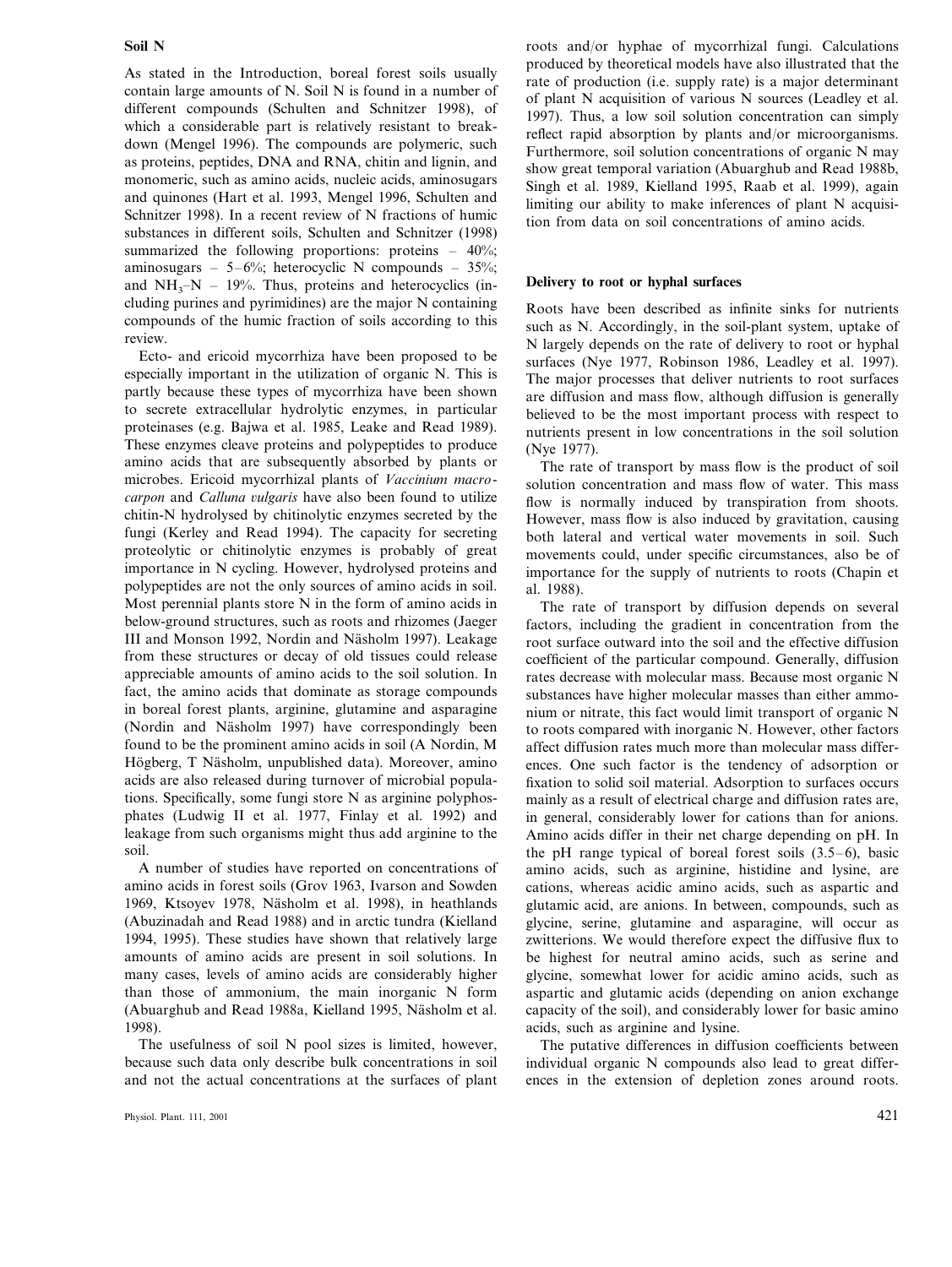#### **Soil N**

As stated in the Introduction, boreal forest soils usually contain large amounts of N. Soil N is found in a number of different compounds (Schulten and Schnitzer 1998), of which a considerable part is relatively resistant to breakdown (Mengel 1996). The compounds are polymeric, such as proteins, peptides, DNA and RNA, chitin and lignin, and monomeric, such as amino acids, nucleic acids, aminosugars and quinones (Hart et al. 1993, Mengel 1996, Schulten and Schnitzer 1998). In a recent review of N fractions of humic substances in different soils, Schulten and Schnitzer (1998) summarized the following proportions: proteins – 40%; aminosugars – 5–6%; heterocyclic N compounds – 35%; and  $NH_3-N - 19\%$ . Thus, proteins and heterocyclics (including purines and pyrimidines) are the major N containing compounds of the humic fraction of soils according to this review.

Ecto- and ericoid mycorrhiza have been proposed to be especially important in the utilization of organic N. This is partly because these types of mycorrhiza have been shown to secrete extracellular hydrolytic enzymes, in particular proteinases (e.g. Bajwa et al. 1985, Leake and Read 1989). These enzymes cleave proteins and polypeptides to produce amino acids that are subsequently absorbed by plants or microbes. Ericoid mycorrhizal plants of *Vaccinium macrocarpon* and *Calluna vulgaris* have also been found to utilize chitin-N hydrolysed by chitinolytic enzymes secreted by the fungi (Kerley and Read 1994). The capacity for secreting proteolytic or chitinolytic enzymes is probably of great importance in N cycling. However, hydrolysed proteins and polypeptides are not the only sources of amino acids in soil. Most perennial plants store N in the form of amino acids in below-ground structures, such as roots and rhizomes (Jaeger III and Monson 1992, Nordin and Näsholm 1997). Leakage from these structures or decay of old tissues could release appreciable amounts of amino acids to the soil solution. In fact, the amino acids that dominate as storage compounds in boreal forest plants, arginine, glutamine and asparagine (Nordin and Näsholm 1997) have correspondingly been found to be the prominent amino acids in soil (A Nordin, M Högberg, T Näsholm, unpublished data). Moreover, amino acids are also released during turnover of microbial populations. Specifically, some fungi store N as arginine polyphosphates (Ludwig II et al. 1977, Finlay et al. 1992) and leakage from such organisms might thus add arginine to the soil.

A number of studies have reported on concentrations of amino acids in forest soils (Grov 1963, Ivarson and Sowden 1969, Ktsoyev 1978, Näsholm et al. 1998), in heathlands (Abuzinadah and Read 1988) and in arctic tundra (Kielland 1994, 1995). These studies have shown that relatively large amounts of amino acids are present in soil solutions. In many cases, levels of amino acids are considerably higher than those of ammonium, the main inorganic N form (Abuarghub and Read 1988a, Kielland 1995, Näsholm et al. 1998).

The usefulness of soil N pool sizes is limited, however, because such data only describe bulk concentrations in soil and not the actual concentrations at the surfaces of plant

roots and/or hyphae of mycorrhizal fungi. Calculations produced by theoretical models have also illustrated that the rate of production (i.e. supply rate) is a major determinant of plant N acquisition of various N sources (Leadley et al. 1997). Thus, a low soil solution concentration can simply reflect rapid absorption by plants and/or microorganisms. Furthermore, soil solution concentrations of organic N may show great temporal variation (Abuarghub and Read 1988b, Singh et al. 1989, Kielland 1995, Raab et al. 1999), again limiting our ability to make inferences of plant N acquisition from data on soil concentrations of amino acids.

#### **Delivery to root or hyphal surfaces**

Roots have been described as infinite sinks for nutrients such as N. Accordingly, in the soil-plant system, uptake of N largely depends on the rate of delivery to root or hyphal surfaces (Nye 1977, Robinson 1986, Leadley et al. 1997). The major processes that deliver nutrients to root surfaces are diffusion and mass flow, although diffusion is generally believed to be the most important process with respect to nutrients present in low concentrations in the soil solution (Nye 1977).

The rate of transport by mass flow is the product of soil solution concentration and mass flow of water. This mass flow is normally induced by transpiration from shoots. However, mass flow is also induced by gravitation, causing both lateral and vertical water movements in soil. Such movements could, under specific circumstances, also be of importance for the supply of nutrients to roots (Chapin et al. 1988).

The rate of transport by diffusion depends on several factors, including the gradient in concentration from the root surface outward into the soil and the effective diffusion coefficient of the particular compound. Generally, diffusion rates decrease with molecular mass. Because most organic N substances have higher molecular masses than either ammonium or nitrate, this fact would limit transport of organic N to roots compared with inorganic N. However, other factors affect diffusion rates much more than molecular mass differences. One such factor is the tendency of adsorption or fixation to solid soil material. Adsorption to surfaces occurs mainly as a result of electrical charge and diffusion rates are, in general, considerably lower for cations than for anions. Amino acids differ in their net charge depending on pH. In the pH range typical of boreal forest soils (3.5–6), basic amino acids, such as arginine, histidine and lysine, are cations, whereas acidic amino acids, such as aspartic and glutamic acid, are anions. In between, compounds, such as glycine, serine, glutamine and asparagine, will occur as zwitterions. We would therefore expect the diffusive flux to be highest for neutral amino acids, such as serine and glycine, somewhat lower for acidic amino acids, such as aspartic and glutamic acids (depending on anion exchange capacity of the soil), and considerably lower for basic amino acids, such as arginine and lysine.

The putative differences in diffusion coefficients between individual organic N compounds also lead to great differences in the extension of depletion zones around roots.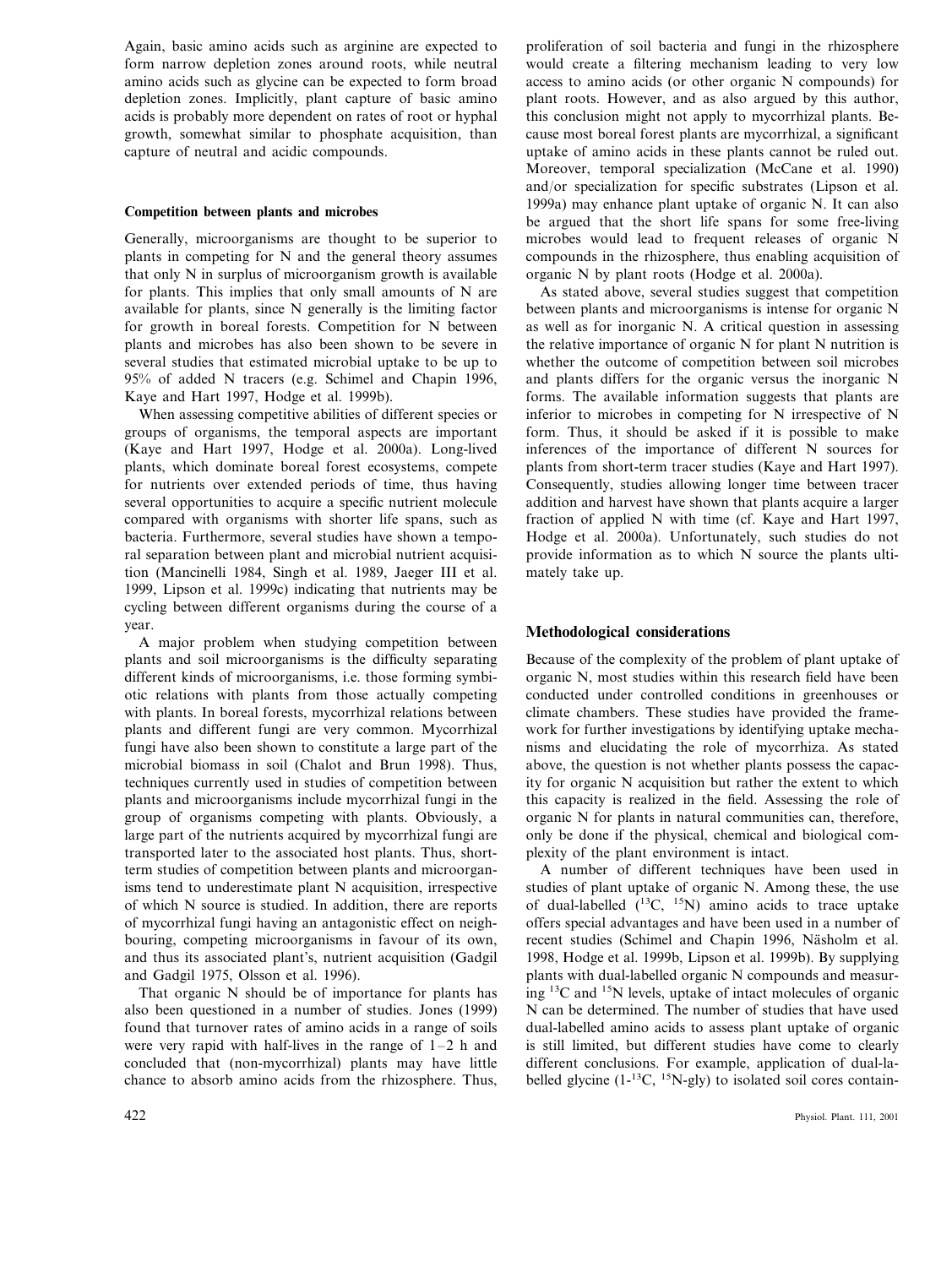Again, basic amino acids such as arginine are expected to form narrow depletion zones around roots, while neutral amino acids such as glycine can be expected to form broad depletion zones. Implicitly, plant capture of basic amino acids is probably more dependent on rates of root or hyphal growth, somewhat similar to phosphate acquisition, than capture of neutral and acidic compounds.

#### **Competition between plants and microbes**

Generally, microorganisms are thought to be superior to plants in competing for N and the general theory assumes that only N in surplus of microorganism growth is available for plants. This implies that only small amounts of N are available for plants, since N generally is the limiting factor for growth in boreal forests. Competition for N between plants and microbes has also been shown to be severe in several studies that estimated microbial uptake to be up to 95% of added N tracers (e.g. Schimel and Chapin 1996, Kaye and Hart 1997, Hodge et al. 1999b).

When assessing competitive abilities of different species or groups of organisms, the temporal aspects are important (Kaye and Hart 1997, Hodge et al. 2000a). Long-lived plants, which dominate boreal forest ecosystems, compete for nutrients over extended periods of time, thus having several opportunities to acquire a specific nutrient molecule compared with organisms with shorter life spans, such as bacteria. Furthermore, several studies have shown a temporal separation between plant and microbial nutrient acquisition (Mancinelli 1984, Singh et al. 1989, Jaeger III et al. 1999, Lipson et al. 1999c) indicating that nutrients may be cycling between different organisms during the course of a year.

A major problem when studying competition between plants and soil microorganisms is the difficulty separating different kinds of microorganisms, i.e. those forming symbiotic relations with plants from those actually competing with plants. In boreal forests, mycorrhizal relations between plants and different fungi are very common. Mycorrhizal fungi have also been shown to constitute a large part of the microbial biomass in soil (Chalot and Brun 1998). Thus, techniques currently used in studies of competition between plants and microorganisms include mycorrhizal fungi in the group of organisms competing with plants. Obviously, a large part of the nutrients acquired by mycorrhizal fungi are transported later to the associated host plants. Thus, shortterm studies of competition between plants and microorganisms tend to underestimate plant N acquisition, irrespective of which N source is studied. In addition, there are reports of mycorrhizal fungi having an antagonistic effect on neighbouring, competing microorganisms in favour of its own, and thus its associated plant's, nutrient acquisition (Gadgil and Gadgil 1975, Olsson et al. 1996).

That organic N should be of importance for plants has also been questioned in a number of studies. Jones (1999) found that turnover rates of amino acids in a range of soils were very rapid with half-lives in the range of 1–2 h and concluded that (non-mycorrhizal) plants may have little chance to absorb amino acids from the rhizosphere. Thus,

proliferation of soil bacteria and fungi in the rhizosphere would create a filtering mechanism leading to very low access to amino acids (or other organic N compounds) for plant roots. However, and as also argued by this author, this conclusion might not apply to mycorrhizal plants. Because most boreal forest plants are mycorrhizal, a significant uptake of amino acids in these plants cannot be ruled out. Moreover, temporal specialization (McCane et al. 1990) and/or specialization for specific substrates (Lipson et al. 1999a) may enhance plant uptake of organic N. It can also be argued that the short life spans for some free-living microbes would lead to frequent releases of organic N compounds in the rhizosphere, thus enabling acquisition of organic N by plant roots (Hodge et al. 2000a).

As stated above, several studies suggest that competition between plants and microorganisms is intense for organic N as well as for inorganic N. A critical question in assessing the relative importance of organic N for plant N nutrition is whether the outcome of competition between soil microbes and plants differs for the organic versus the inorganic N forms. The available information suggests that plants are inferior to microbes in competing for N irrespective of N form. Thus, it should be asked if it is possible to make inferences of the importance of different N sources for plants from short-term tracer studies (Kaye and Hart 1997). Consequently, studies allowing longer time between tracer addition and harvest have shown that plants acquire a larger fraction of applied N with time (cf. Kaye and Hart 1997, Hodge et al. 2000a). Unfortunately, such studies do not provide information as to which N source the plants ultimately take up.

#### **Methodological considerations**

Because of the complexity of the problem of plant uptake of organic N, most studies within this research field have been conducted under controlled conditions in greenhouses or climate chambers. These studies have provided the framework for further investigations by identifying uptake mechanisms and elucidating the role of mycorrhiza. As stated above, the question is not whether plants possess the capacity for organic N acquisition but rather the extent to which this capacity is realized in the field. Assessing the role of organic N for plants in natural communities can, therefore, only be done if the physical, chemical and biological complexity of the plant environment is intact.

A number of different techniques have been used in studies of plant uptake of organic N. Among these, the use of dual-labelled  $(^{13}C, ^{15}N)$  amino acids to trace uptake offers special advantages and have been used in a number of recent studies (Schimel and Chapin 1996, Näsholm et al. 1998, Hodge et al. 1999b, Lipson et al. 1999b). By supplying plants with dual-labelled organic N compounds and measuring 13C and 15N levels, uptake of intact molecules of organic N can be determined. The number of studies that have used dual-labelled amino acids to assess plant uptake of organic is still limited, but different studies have come to clearly different conclusions. For example, application of dual-labelled glycine  $(1^{-13}C, {}^{15}N$ -gly) to isolated soil cores contain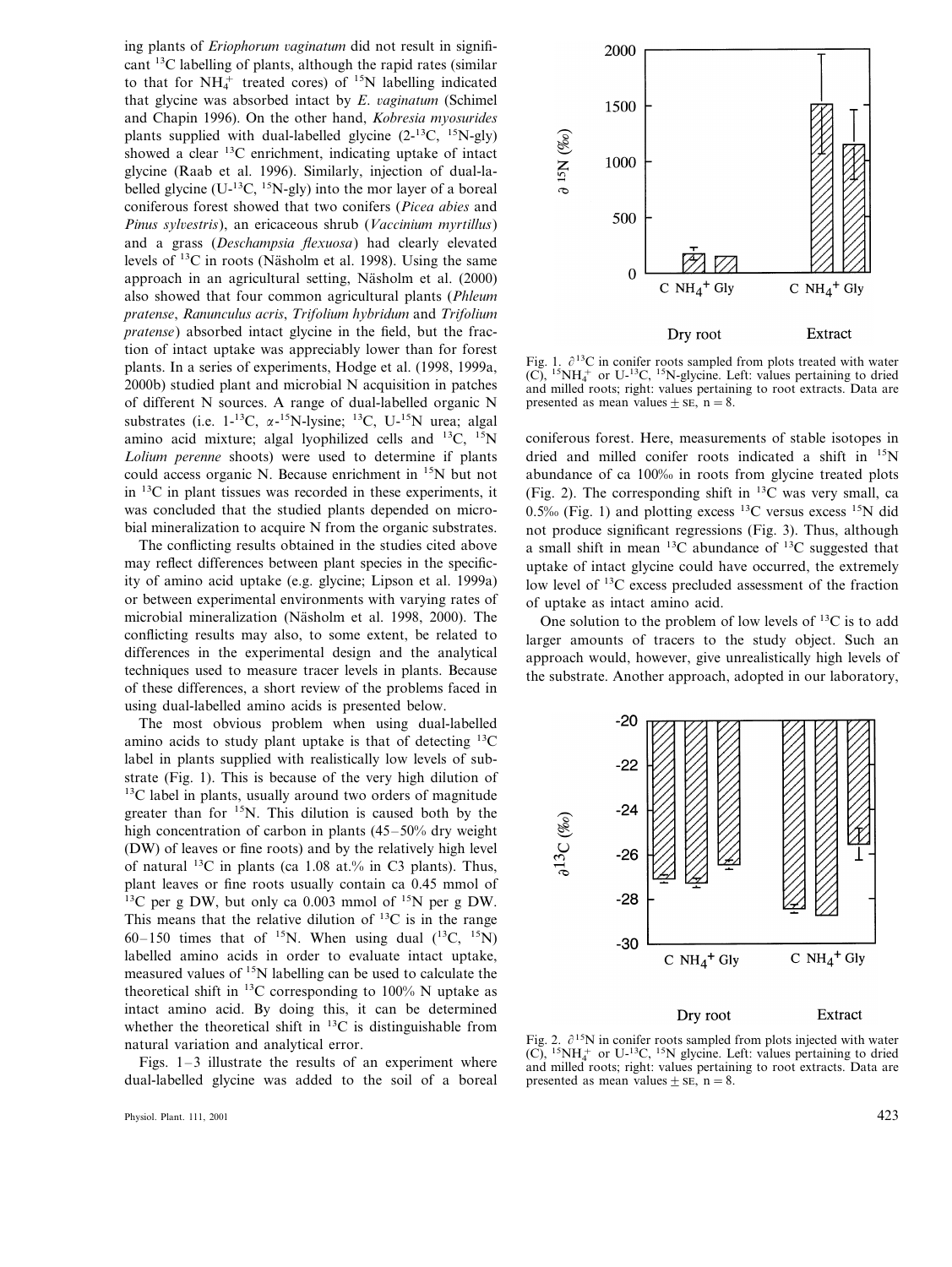ing plants of *Eriophorum* vaginatum did not result in significant 13C labelling of plants, although the rapid rates (similar to that for  $NH_4^+$  treated cores) of <sup>15</sup>N labelling indicated that glycine was absorbed intact by *E. vaginatum* (Schimel and Chapin 1996). On the other hand, *Kobresia myosurides* plants supplied with dual-labelled glycine  $(2^{-13}C, 15N-gly)$ showed a clear <sup>13</sup>C enrichment, indicating uptake of intact glycine (Raab et al. 1996). Similarly, injection of dual-labelled glycine ( $U^{-13}C$ , <sup>15</sup>N-gly) into the mor layer of a boreal coniferous forest showed that two conifers (*Picea abies* and *Pinus sylvestris*), an ericaceous shrub (*Vaccinium myrtillus*) and a grass (*Deschampsia flexuosa*) had clearly elevated levels of  $^{13}$ C in roots (Näsholm et al. 1998). Using the same approach in an agricultural setting, Näsholm et al. (2000) also showed that four common agricultural plants (*Phleum pratense*, *Ranunculus acris*, *Trifolium hybridum* and *Trifolium pratense*) absorbed intact glycine in the field, but the fraction of intact uptake was appreciably lower than for forest plants. In a series of experiments, Hodge et al. (1998, 1999a, 2000b) studied plant and microbial N acquisition in patches of different N sources. A range of dual-labelled organic N substrates (i.e.  $1$ -<sup>13</sup>C,  $\alpha$ -<sup>15</sup>N-lysine; <sup>13</sup>C, U-<sup>15</sup>N urea; algal amino acid mixture; algal lyophilized cells and  $^{13}C$ ,  $^{15}N$ *Lolium perenne* shoots) were used to determine if plants could access organic N. Because enrichment in 15N but not in 13C in plant tissues was recorded in these experiments, it was concluded that the studied plants depended on microbial mineralization to acquire N from the organic substrates.

The conflicting results obtained in the studies cited above may reflect differences between plant species in the specificity of amino acid uptake (e.g. glycine; Lipson et al. 1999a) or between experimental environments with varying rates of microbial mineralization (Näsholm et al. 1998, 2000). The conflicting results may also, to some extent, be related to differences in the experimental design and the analytical techniques used to measure tracer levels in plants. Because of these differences, a short review of the problems faced in using dual-labelled amino acids is presented below.

The most obvious problem when using dual-labelled amino acids to study plant uptake is that of detecting  $^{13}$ C label in plants supplied with realistically low levels of substrate (Fig. 1). This is because of the very high dilution of 13C label in plants, usually around two orders of magnitude greater than for  $15N$ . This dilution is caused both by the high concentration of carbon in plants (45–50% dry weight (DW) of leaves or fine roots) and by the relatively high level of natural <sup>13</sup>C in plants (ca 1.08 at.% in C3 plants). Thus, plant leaves or fine roots usually contain ca 0.45 mmol of  $13C$  per g DW, but only ca 0.003 mmol of  $15N$  per g DW. This means that the relative dilution of  $^{13}$ C is in the range 60–150 times that of <sup>15</sup>N. When using dual  $(^{13}C, ^{15}N)$ labelled amino acids in order to evaluate intact uptake, measured values of 15N labelling can be used to calculate the theoretical shift in  $^{13}$ C corresponding to 100% N uptake as intact amino acid. By doing this, it can be determined whether the theoretical shift in <sup>13</sup>C is distinguishable from natural variation and analytical error.

Figs. 1–3 illustrate the results of an experiment where dual-labelled glycine was added to the soil of a boreal



Fig. 1.  $\partial^{13}C$  in conifer roots sampled from plots treated with water  $(C)$ , <sup>15</sup>NH<sub>4</sub><sup>+</sup> or U-<sup>13</sup>C, <sup>15</sup>N-glycine. Left: values pertaining to dried and milled roots; right: values pertaining to root extracts. Data are presented as mean values  $\pm$  sE, n = 8.

coniferous forest. Here, measurements of stable isotopes in dried and milled conifer roots indicated a shift in <sup>15</sup>N abundance of ca 100‰ in roots from glycine treated plots (Fig. 2). The corresponding shift in  $^{13}$ C was very small, ca 0.5‰ (Fig. 1) and plotting excess  $^{13}$ C versus excess  $^{15}$ N did not produce significant regressions (Fig. 3). Thus, although a small shift in mean  $^{13}$ C abundance of  $^{13}$ C suggested that uptake of intact glycine could have occurred, the extremely low level of 13C excess precluded assessment of the fraction of uptake as intact amino acid.

One solution to the problem of low levels of 13C is to add larger amounts of tracers to the study object. Such an approach would, however, give unrealistically high levels of the substrate. Another approach, adopted in our laboratory,



Fig. 2.  $\partial^{15}N$  in conifer roots sampled from plots injected with water  $(C)$ ,  $15NH_4^+$  or U- $13C$ ,  $15N$  glycine. Left: values pertaining to dried and milled roots; right: values pertaining to root extracts. Data are presented as mean values  $\pm$  SE, n = 8.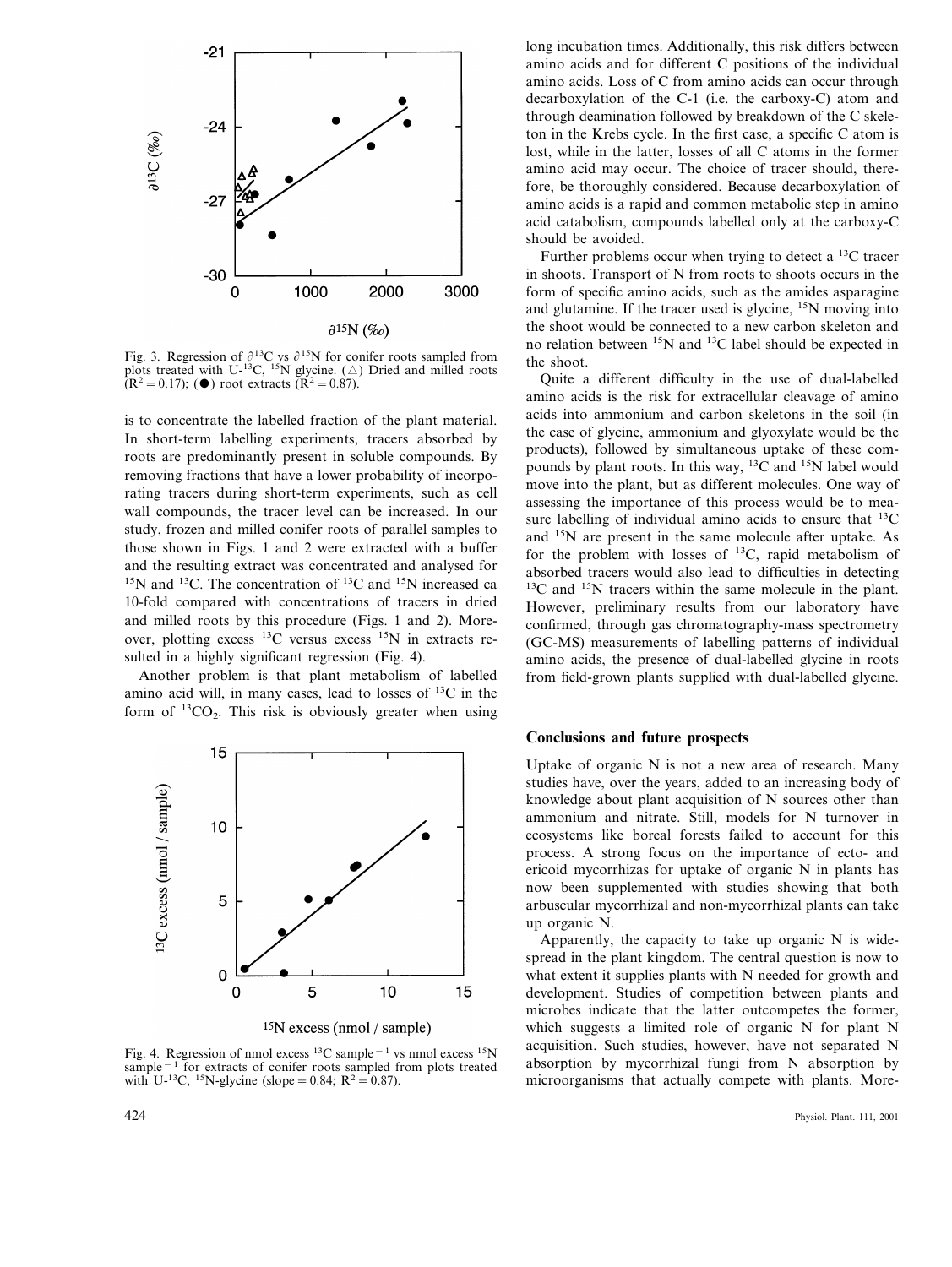

Fig. 3. Regression of  $\partial^{13}C$  vs  $\partial^{15}N$  for conifer roots sampled from plots treated with U-<sup>13</sup>C, <sup>15</sup>N glycine. ( $\triangle$ ) Dried and milled roots  $(R^2=0.17)$ ; ( $\bullet$ ) root extracts  $(R^2=0.87)$ .

is to concentrate the labelled fraction of the plant material. In short-term labelling experiments, tracers absorbed by roots are predominantly present in soluble compounds. By removing fractions that have a lower probability of incorporating tracers during short-term experiments, such as cell wall compounds, the tracer level can be increased. In our study, frozen and milled conifer roots of parallel samples to those shown in Figs. 1 and 2 were extracted with a buffer and the resulting extract was concentrated and analysed for  $15N$  and  $13C$ . The concentration of  $13C$  and  $15N$  increased ca 10-fold compared with concentrations of tracers in dried and milled roots by this procedure (Figs. 1 and 2). Moreover, plotting excess  $^{13}$ C versus excess  $^{15}$ N in extracts resulted in a highly significant regression (Fig. 4).

Another problem is that plant metabolism of labelled amino acid will, in many cases, lead to losses of  $^{13}$ C in the form of  ${}^{13}CO_2$ . This risk is obviously greater when using



Fig. 4. Regression of nmol excess 13C sample−<sup>1</sup> vs nmol excess 15N sample<sup>−1</sup> for extracts of conifer roots sampled from plots treated with U-<sup>13</sup>C, <sup>15</sup>N-glycine (slope = 0.84; R<sup>2</sup> = 0.87).

long incubation times. Additionally, this risk differs between amino acids and for different C positions of the individual amino acids. Loss of C from amino acids can occur through decarboxylation of the C-1 (i.e. the carboxy-C) atom and through deamination followed by breakdown of the C skeleton in the Krebs cycle. In the first case, a specific C atom is lost, while in the latter, losses of all C atoms in the former amino acid may occur. The choice of tracer should, therefore, be thoroughly considered. Because decarboxylation of amino acids is a rapid and common metabolic step in amino acid catabolism, compounds labelled only at the carboxy-C should be avoided.

Further problems occur when trying to detect a 13C tracer in shoots. Transport of N from roots to shoots occurs in the form of specific amino acids, such as the amides asparagine and glutamine. If the tracer used is glycine, <sup>15</sup>N moving into the shoot would be connected to a new carbon skeleton and no relation between 15N and 13C label should be expected in the shoot.

Quite a different difficulty in the use of dual-labelled amino acids is the risk for extracellular cleavage of amino acids into ammonium and carbon skeletons in the soil (in the case of glycine, ammonium and glyoxylate would be the products), followed by simultaneous uptake of these compounds by plant roots. In this way,  $^{13}$ C and  $^{15}$ N label would move into the plant, but as different molecules. One way of assessing the importance of this process would be to measure labelling of individual amino acids to ensure that  $^{13}$ C and 15N are present in the same molecule after uptake. As for the problem with losses of  $^{13}C$ , rapid metabolism of absorbed tracers would also lead to difficulties in detecting <sup>13</sup>C and <sup>15</sup>N tracers within the same molecule in the plant. However, preliminary results from our laboratory have confirmed, through gas chromatography-mass spectrometry (GC-MS) measurements of labelling patterns of individual amino acids, the presence of dual-labelled glycine in roots from field-grown plants supplied with dual-labelled glycine.

#### **Conclusions and future prospects**

Uptake of organic N is not a new area of research. Many studies have, over the years, added to an increasing body of knowledge about plant acquisition of N sources other than ammonium and nitrate. Still, models for N turnover in ecosystems like boreal forests failed to account for this process. A strong focus on the importance of ecto- and ericoid mycorrhizas for uptake of organic N in plants has now been supplemented with studies showing that both arbuscular mycorrhizal and non-mycorrhizal plants can take up organic N.

Apparently, the capacity to take up organic N is widespread in the plant kingdom. The central question is now to what extent it supplies plants with N needed for growth and development. Studies of competition between plants and microbes indicate that the latter outcompetes the former, which suggests a limited role of organic N for plant N acquisition. Such studies, however, have not separated N absorption by mycorrhizal fungi from N absorption by microorganisms that actually compete with plants. More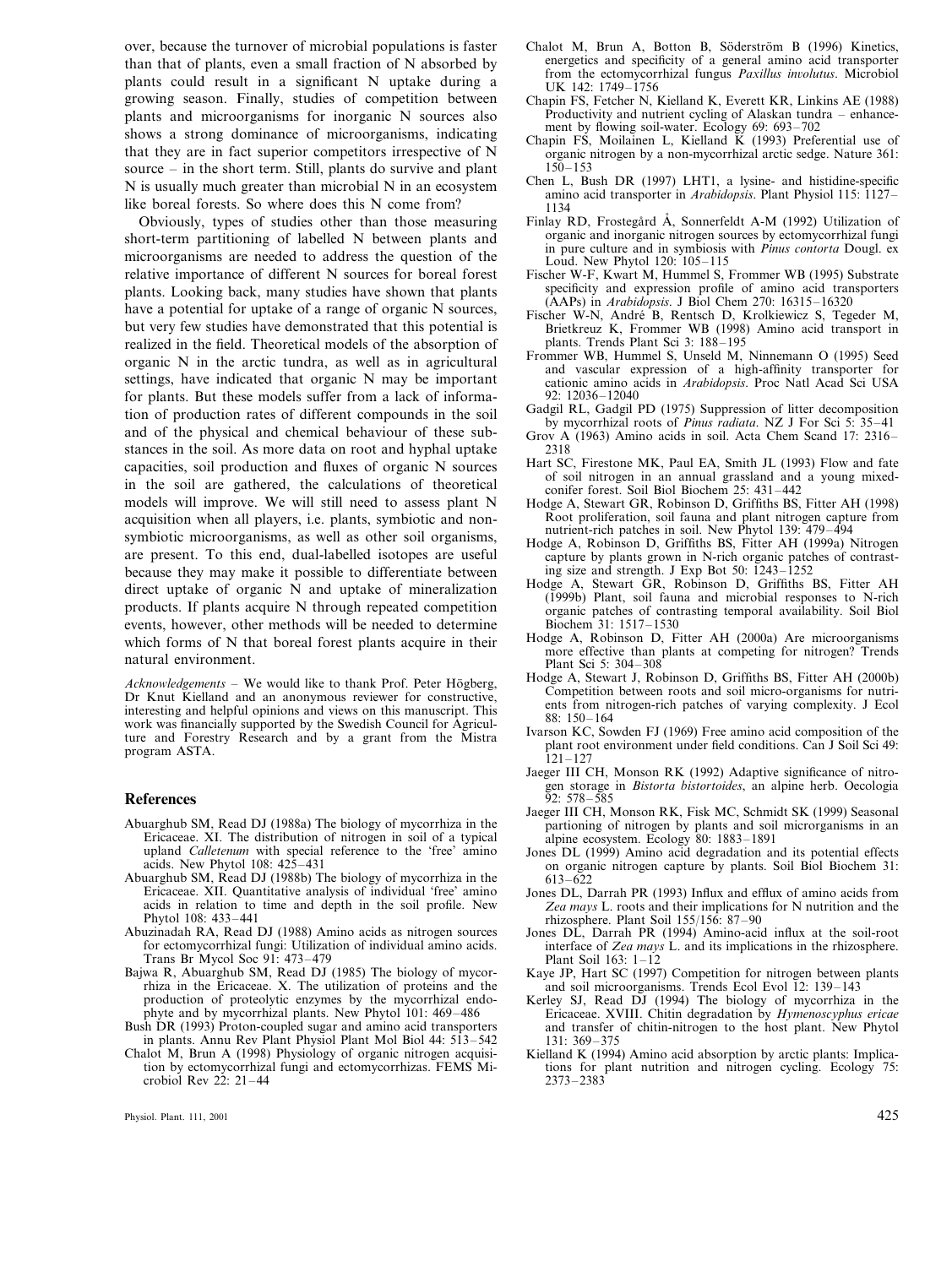over, because the turnover of microbial populations is faster than that of plants, even a small fraction of N absorbed by plants could result in a significant N uptake during a growing season. Finally, studies of competition between plants and microorganisms for inorganic N sources also shows a strong dominance of microorganisms, indicating that they are in fact superior competitors irrespective of N source – in the short term. Still, plants do survive and plant N is usually much greater than microbial N in an ecosystem like boreal forests. So where does this N come from?

Obviously, types of studies other than those measuring short-term partitioning of labelled N between plants and microorganisms are needed to address the question of the relative importance of different N sources for boreal forest plants. Looking back, many studies have shown that plants have a potential for uptake of a range of organic N sources, but very few studies have demonstrated that this potential is realized in the field. Theoretical models of the absorption of organic N in the arctic tundra, as well as in agricultural settings, have indicated that organic N may be important for plants. But these models suffer from a lack of information of production rates of different compounds in the soil and of the physical and chemical behaviour of these substances in the soil. As more data on root and hyphal uptake capacities, soil production and fluxes of organic N sources in the soil are gathered, the calculations of theoretical models will improve. We will still need to assess plant N acquisition when all players, i.e. plants, symbiotic and nonsymbiotic microorganisms, as well as other soil organisms, are present. To this end, dual-labelled isotopes are useful because they may make it possible to differentiate between direct uptake of organic N and uptake of mineralization products. If plants acquire N through repeated competition events, however, other methods will be needed to determine which forms of N that boreal forest plants acquire in their natural environment.

*Acknowledgements* – We would like to thank Prof. Peter Högberg, Dr Knut Kielland and an anonymous reviewer for constructive, interesting and helpful opinions and views on this manuscript. This work was financially supported by the Swedish Council for Agriculture and Forestry Research and by a grant from the Mistra program ASTA.

#### **References**

- Abuarghub SM, Read DJ (1988a) The biology of mycorrhiza in the Ericaceae. XI. The distribution of nitrogen in soil of a typical upland *Calletenum* with special reference to the 'free' amino acids. New Phytol 108: 425–431
- Abuarghub SM, Read DJ (1988b) The biology of mycorrhiza in the Ericaceae. XII. Quantitative analysis of individual 'free' amino acids in relation to time and depth in the soil profile. New Phytol 108: 433–441
- Abuzinadah RA, Read DJ (1988) Amino acids as nitrogen sources for ectomycorrhizal fungi: Utilization of individual amino acids. Trans Br Mycol Soc 91: 473–479
- Bajwa R, Abuarghub SM, Read DJ (1985) The biology of mycorrhiza in the Ericaceae. X. The utilization of proteins and the production of proteolytic enzymes by the mycorrhizal endophyte and by mycorrhizal plants. New Phytol 101: 469–486
- Bush DR (1993) Proton-coupled sugar and amino acid transporters in plants. Annu Rev Plant Physiol Plant Mol Biol 44: 513–542
- Chalot M, Brun A (1998) Physiology of organic nitrogen acquisition by ectomycorrhizal fungi and ectomycorrhizas. FEMS Microbiol Rev 22: 21–44
- Chalot M, Brun A, Botton B, Söderström B (1996) Kinetics, energetics and specificity of a general amino acid transporter from the ectomycorrhizal fungus *Paxillus involutus*. Microbiol UK 142: 1749–1756
- Chapin FS, Fetcher N, Kielland K, Everett KR, Linkins AE (1988) Productivity and nutrient cycling of Alaskan tundra – enhancement by flowing soil-water. Ecology 69: 693–702
- Chapin FS, Moilainen L, Kielland K (1993) Preferential use of organic nitrogen by a non-mycorrhizal arctic sedge. Nature 361: 150–153
- Chen L, Bush DR (1997) LHT1, a lysine- and histidine-specific amino acid transporter in *Arabidopsis*. Plant Physiol 115: 1127– 1134
- Finlay RD, Frostegård Å, Sonnerfeldt A-M (1992) Utilization of organic and inorganic nitrogen sources by ectomycorrhizal fungi in pure culture and in symbiosis with *Pinus contorta* Dougl. ex Loud. New Phytol 120: 105–115
- Fischer W-F, Kwart M, Hummel S, Frommer WB (1995) Substrate specificity and expression profile of amino acid transporters (AAPs) in *Arabidopsis*. J Biol Chem 270: 16315–16320
- Fischer W-N, André B, Rentsch D, Krolkiewicz S, Tegeder M, Brietkreuz K, Frommer WB (1998) Amino acid transport in plants. Trends Plant Sci 3: 188–195
- Frommer WB, Hummel S, Unseld M, Ninnemann O (1995) Seed and vascular expression of a high-affinity transporter for cationic amino acids in *Arabidopsis*. Proc Natl Acad Sci USA 92: 12036–12040
- Gadgil RL, Gadgil PD (1975) Suppression of litter decomposition by mycorrhizal roots of *Pinus radiata*. NZ J For Sci 5: 35–41
- Grov A (1963) Amino acids in soil. Acta Chem Scand 17: 2316– 2318
- Hart SC, Firestone MK, Paul EA, Smith JL (1993) Flow and fate of soil nitrogen in an annual grassland and a young mixedconifer forest. Soil Biol Biochem 25: 431–442
- Hodge A, Stewart GR, Robinson D, Griffiths BS, Fitter AH (1998) Root proliferation, soil fauna and plant nitrogen capture from nutrient-rich patches in soil. New Phytol 139: 479–494
- Hodge A, Robinson D, Griffiths BS, Fitter AH (1999a) Nitrogen capture by plants grown in N-rich organic patches of contrasting size and strength. J Exp Bot 50: 1243–1252
- Hodge A, Stewart GR, Robinson D, Griffiths BS, Fitter AH (1999b) Plant, soil fauna and microbial responses to N-rich organic patches of contrasting temporal availability. Soil Biol Biochem 31: 1517–1530
- Hodge A, Robinson D, Fitter AH (2000a) Are microorganisms more effective than plants at competing for nitrogen? Trends Plant Sci 5: 304–308
- Hodge A, Stewart J, Robinson D, Griffiths BS, Fitter AH (2000b) Competition between roots and soil micro-organisms for nutrients from nitrogen-rich patches of varying complexity. J Ecol 88: 150–164
- Ivarson KC, Sowden FJ (1969) Free amino acid composition of the plant root environment under field conditions. Can J Soil Sci 49: 121–127
- Jaeger III CH, Monson RK (1992) Adaptive significance of nitrogen storage in *Bistorta bistortoides*, an alpine herb. Oecologia 92: 578–585
- Jaeger III CH, Monson RK, Fisk MC, Schmidt SK (1999) Seasonal partioning of nitrogen by plants and soil microrganisms in an alpine ecosystem. Ecology 80: 1883–1891
- Jones DL (1999) Amino acid degradation and its potential effects on organic nitrogen capture by plants. Soil Biol Biochem 31: 613–622
- Jones DL, Darrah PR (1993) Influx and efflux of amino acids from *Zea mays* L. roots and their implications for N nutrition and the rhizosphere. Plant Soil 155/156: 87–90
- Jones DL, Darrah PR (1994) Amino-acid influx at the soil-root interface of *Zea mays* L. and its implications in the rhizosphere. Plant Soil 163: 1–12
- Kaye JP, Hart SC (1997) Competition for nitrogen between plants and soil microorganisms. Trends Ecol Evol 12: 139–143
- Kerley SJ, Read DJ (1994) The biology of mycorrhiza in the Ericaceae. XVIII. Chitin degradation by *Hymenoscyphus ericae* and transfer of chitin-nitrogen to the host plant. New Phytol 131: 369–375
- Kielland K (1994) Amino acid absorption by arctic plants: Implications for plant nutrition and nitrogen cycling. Ecology 75: 2373–2383